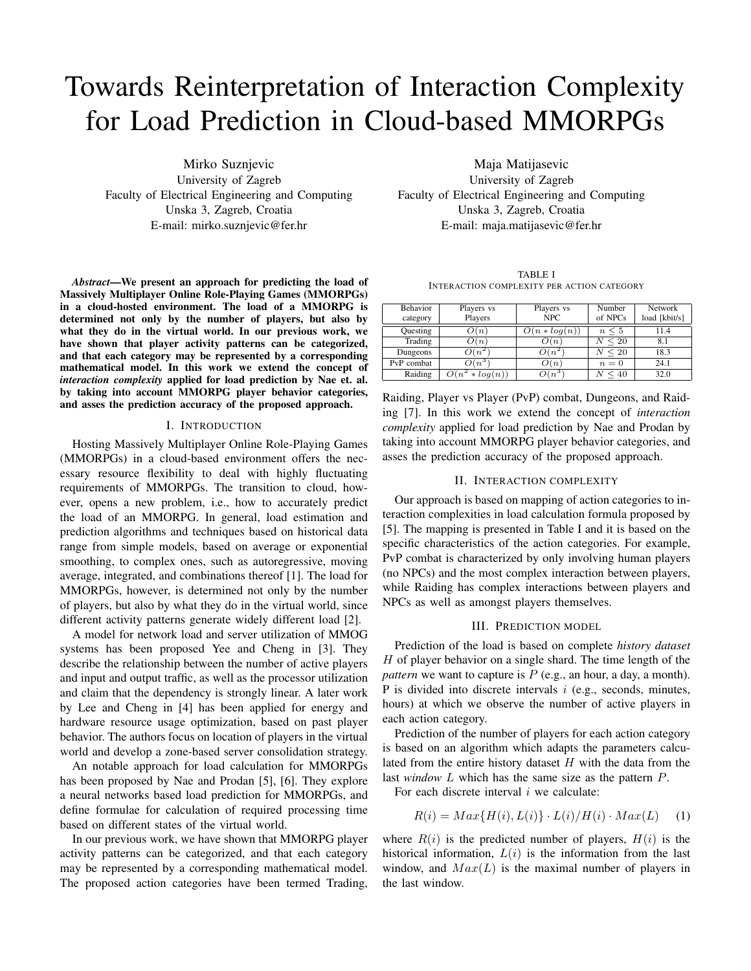# Towards Reinterpretation of Interaction Complexity for Load Prediction in Cloud-based MMORPGs

Mirko Suznjevic University of Zagreb Faculty of Electrical Engineering and Computing Unska 3, Zagreb, Croatia E-mail: mirko.suznjevic@fer.hr

*Abstract*—We present an approach for predicting the load of Massively Multiplayer Online Role-Playing Games (MMORPGs) in a cloud-hosted environment. The load of a MMORPG is determined not only by the number of players, but also by what they do in the virtual world. In our previous work, we have shown that player activity patterns can be categorized, and that each category may be represented by a corresponding mathematical model. In this work we extend the concept of *interaction complexity* applied for load prediction by Nae et. al. by taking into account MMORPG player behavior categories, and asses the prediction accuracy of the proposed approach.

## I. INTRODUCTION

Hosting Massively Multiplayer Online Role-Playing Games (MMORPGs) in a cloud-based environment offers the necessary resource flexibility to deal with highly fluctuating requirements of MMORPGs. The transition to cloud, however, opens a new problem, i.e., how to accurately predict the load of an MMORPG. In general, load estimation and prediction algorithms and techniques based on historical data range from simple models, based on average or exponential smoothing, to complex ones, such as autoregressive, moving average, integrated, and combinations thereof [1]. The load for MMORPGs, however, is determined not only by the number of players, but also by what they do in the virtual world, since different activity patterns generate widely different load [2].

A model for network load and server utilization of MMOG systems has been proposed Yee and Cheng in [3]. They describe the relationship between the number of active players and input and output traffic, as well as the processor utilization and claim that the dependency is strongly linear. A later work by Lee and Cheng in [4] has been applied for energy and hardware resource usage optimization, based on past player behavior. The authors focus on location of players in the virtual world and develop a zone-based server consolidation strategy.

An notable approach for load calculation for MMORPGs has been proposed by Nae and Prodan [5], [6]. They explore a neural networks based load prediction for MMORPGs, and define formulae for calculation of required processing time based on different states of the virtual world.

In our previous work, we have shown that MMORPG player activity patterns can be categorized, and that each category may be represented by a corresponding mathematical model. The proposed action categories have been termed Trading,

Maja Matijasevic University of Zagreb Faculty of Electrical Engineering and Computing Unska 3, Zagreb, Croatia E-mail: maja.matijasevic@fer.hr

TABLE I INTERACTION COMPLEXITY PER ACTION CATEGORY

| <b>Behavior</b><br>category | Players vs<br>Players | Players vs<br><b>NPC</b>             | Number<br>of NPCs | Network<br>load [kbit/s] |
|-----------------------------|-----------------------|--------------------------------------|-------------------|--------------------------|
| Ouesting                    | $\lambda(n)$          | $\overline{\mathcal{O}}(n * log(n))$ | $n \leq 5$        | 11.4                     |
| Trading                     | $\mathcal{Y}(n)$      | O(n)                                 | $\leq 20$         | 8.1                      |
| Dungeons                    | $\mathcal{Y}(n)$      | $\lambda(n)$                         | $\leq 20$         | 18.3                     |
| PvP combat                  | $O(n^3)$              | O(n)                                 | $n=0$             | 24.1                     |
| Raiding                     | $\ast \log(n)$        | $2(n^3)$                             | 40                | 32.0                     |

Raiding, Player vs Player (PvP) combat, Dungeons, and Raiding [7]. In this work we extend the concept of *interaction complexity* applied for load prediction by Nae and Prodan by taking into account MMORPG player behavior categories, and asses the prediction accuracy of the proposed approach.

### II. INTERACTION COMPLEXITY

Our approach is based on mapping of action categories to interaction complexities in load calculation formula proposed by [5]. The mapping is presented in Table I and it is based on the specific characteristics of the action categories. For example, PvP combat is characterized by only involving human players (no NPCs) and the most complex interaction between players, while Raiding has complex interactions between players and NPCs as well as amongst players themselves.

# III. PREDICTION MODEL

Prediction of the load is based on complete *history dataset*  $H$  of player behavior on a single shard. The time length of the *pattern* we want to capture is  $P$  (e.g., an hour, a day, a month). P is divided into discrete intervals  $i$  (e.g., seconds, minutes, hours) at which we observe the number of active players in each action category.

Prediction of the number of players for each action category is based on an algorithm which adapts the parameters calculated from the entire history dataset  $H$  with the data from the last *window* L which has the same size as the pattern P.

For each discrete interval  $i$  we calculate:

$$
R(i) = Max\{H(i), L(i)\} \cdot L(i)/H(i) \cdot Max(L)
$$
 (1)

where  $R(i)$  is the predicted number of players,  $H(i)$  is the historical information,  $L(i)$  is the information from the last window, and  $Max(L)$  is the maximal number of players in the last window.